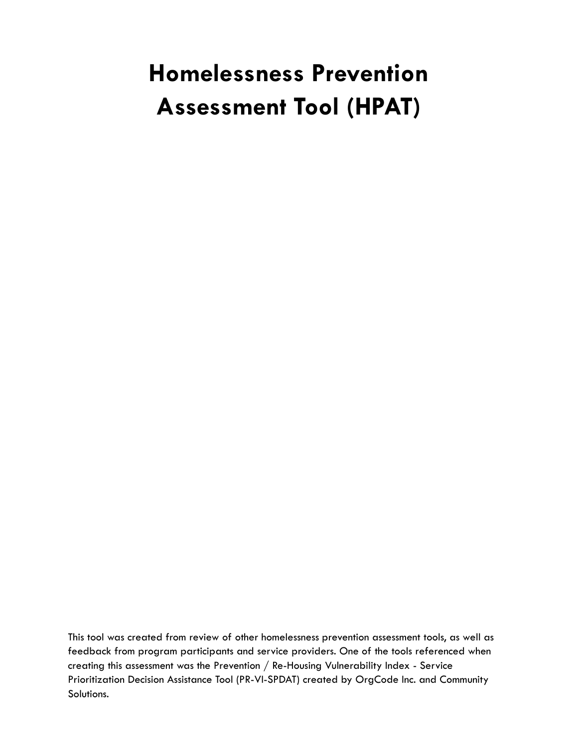# **Homelessness Prevention Assessment Tool (HPAT)**

This tool was created from review of other homelessness prevention assessment tools, as well as feedback from program participants and service providers. One of the tools referenced when creating this assessment was the Prevention / Re-Housing Vulnerability Index - Service Prioritization Decision Assistance Tool (PR-VI-SPDAT) created by OrgCode Inc. and Community Solutions.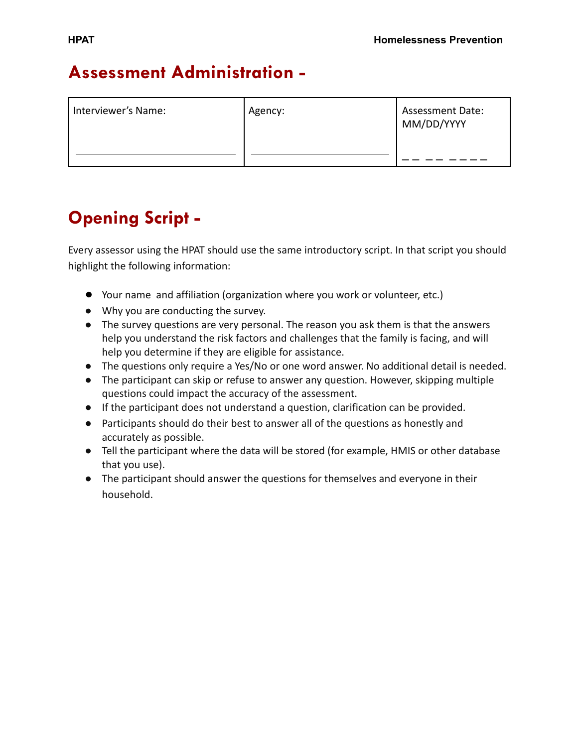# **Assessment Administration -**

| Interviewer's Name: | Agency: | Assessment Date:<br>MM/DD/YYYY |
|---------------------|---------|--------------------------------|
|---------------------|---------|--------------------------------|

# **Opening Script -**

Every assessor using the HPAT should use the same introductory script. In that script you should highlight the following information:

- Your name and affiliation (organization where you work or volunteer, etc.)
- **●** Why you are conducting the survey.
- **●** The survey questions are very personal. The reason you ask them is that the answers help you understand the risk factors and challenges that the family is facing, and will help you determine if they are eligible for assistance.
- **●** The questions only require a Yes/No or one word answer. No additional detail is needed.
- The participant can skip or refuse to answer any question. However, skipping multiple questions could impact the accuracy of the assessment.
- If the participant does not understand a question, clarification can be provided.
- Participants should do their best to answer all of the questions as honestly and accurately as possible.
- Tell the participant where the data will be stored (for example, HMIS or other database that you use).
- The participant should answer the questions for themselves and everyone in their household.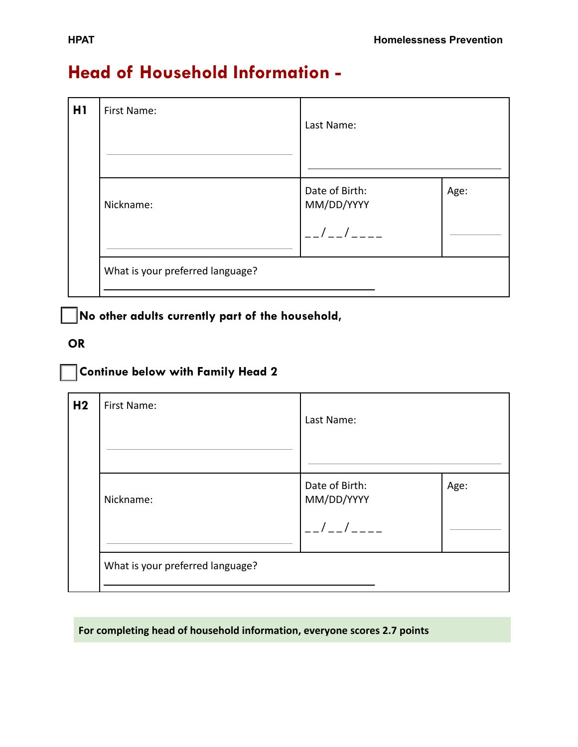# **Head of Household Information -**

| H1 | First Name:                      | Last Name:                                            |  |  |  |
|----|----------------------------------|-------------------------------------------------------|--|--|--|
|    | Nickname:                        | Date of Birth:<br>Age:<br>MM/DD/YYYY<br>$\frac{1}{2}$ |  |  |  |
|    | What is your preferred language? |                                                       |  |  |  |

**□ No other adults currently part of the household,**

#### **OR**

#### **□ Continue below with Family Head 2**

| H <sub>2</sub> | First Name:                      | Last Name:                                                                                                      |      |  |
|----------------|----------------------------------|-----------------------------------------------------------------------------------------------------------------|------|--|
|                | Nickname:                        | Date of Birth:<br>MM/DD/YYYY<br>$\left  \begin{array}{cc} 1 & 1 \end{array} \right _{\mathcal{L}=-\mathcal{L}}$ | Age: |  |
|                | What is your preferred language? |                                                                                                                 |      |  |

#### **For completing head of household information, everyone scores 2.7 points**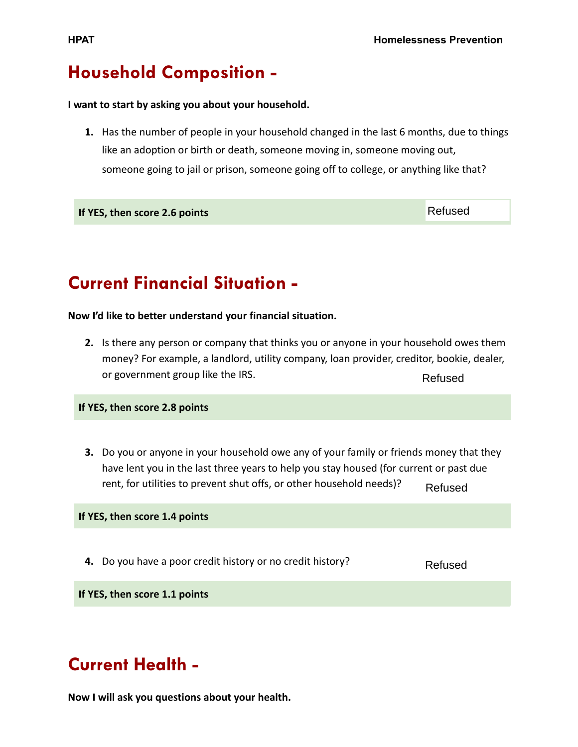# **Household Composition -**

#### **I want to start by asking you about your household.**

**1.** Has the number of people in your household changed in the last 6 months, due to things like an adoption or birth or death, someone moving in, someone moving out, someone going to jail or prison, someone going off to college, or anything like that?

**If YES, then score 2.6 points**

**Current Financial Situation -**

**Now I'd like to better understand your financial situation.**

**2.** Is there any person or company that thinks you or anyone in your household owes them money? For example, a landlord, utility company, loan provider, creditor, bookie, dealer, or government group like the IRS. Refused

**If YES, then score 2.8 points**

**3.** Do you or anyone in your household owe any of your family or friends money that they have lent you in the last three years to help you stay housed (for current or past due rent, for utilities to prevent shut offs, or other household needs)? Refused

**If YES, then score 1.4 points**

**4.** Do you have a poor credit history or no credit history?

Refused

**If YES, then score 1.1 points**

# **Current Health -**

**Now I will ask you questions about your health.**

Refused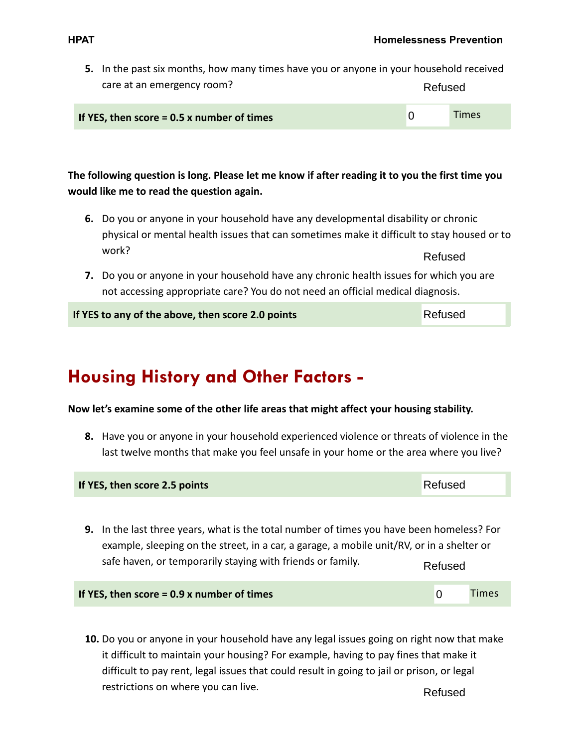Refused

 $\Omega$ 

Times

| 5. In the past six months, how many times have you or anyone in your household received |         |
|-----------------------------------------------------------------------------------------|---------|
| care at an emergency room?                                                              | Refused |

| If YES, then score = $0.5$ x number of times |  |
|----------------------------------------------|--|
|----------------------------------------------|--|

#### **The following question is long. Please let me know if after reading it to you the first time you would like me to read the question again.**

- **6.** Do you or anyone in your household have any developmental disability or chronic physical or mental health issues that can sometimes make it difficult to stay housed or to work? Refused
- **7.** Do you or anyone in your household have any chronic health issues for which you are not accessing appropriate care? You do not need an official medical diagnosis.

**If YES to any of the above, then score 2.0 points**

**Housing History and Other Factors -**

**Now let's examine some of the other life areas that might affect your housing stability.**

**8.** Have you or anyone in your household experienced violence or threats of violence in the last twelve months that make you feel unsafe in your home or the area where you live?

| If YES, then score 2.5 points                                                                                                                                                                                                                                   | Refused |       |  |  |  |
|-----------------------------------------------------------------------------------------------------------------------------------------------------------------------------------------------------------------------------------------------------------------|---------|-------|--|--|--|
| 9. In the last three years, what is the total number of times you have been homeless? For<br>example, sleeping on the street, in a car, a garage, a mobile unit/RV, or in a shelter or<br>safe haven, or temporarily staying with friends or family.<br>Refused |         |       |  |  |  |
| If YES, then score = $0.9$ x number of times                                                                                                                                                                                                                    | O       | Times |  |  |  |

**10.** Do you or anyone in your household have any legal issues going on right now that make it difficult to maintain your housing? For example, having to pay fines that make it difficult to pay rent, legal issues that could result in going to jail or prison, or legal restrictions on where you can live. Refused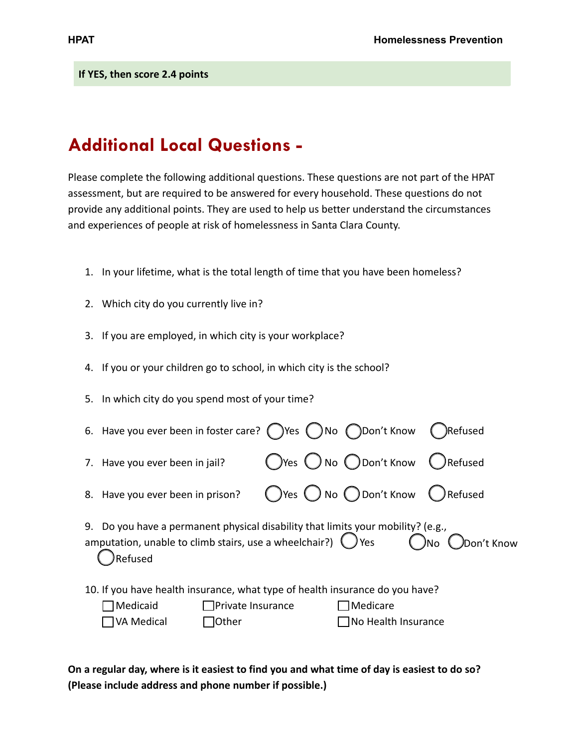**If YES, then score 2.4 points**

### **Additional Local Questions -**

Please complete the following additional questions. These questions are not part of the HPAT assessment, but are required to be answered for every household. These questions do not provide any additional points. They are used to help us better understand the circumstances and experiences of people at risk of homelessness in Santa Clara County.

- 1. In your lifetime, what is the total length of time that you have been homeless?
- 2. Which city do you currently live in?
- 3. If you are employed, in which city is your workplace?
- 4. If you or your children go to school, in which city is the school?
- 5. In which city do you spend most of your time?

| 6. Have you ever been in foster care? $\bigcirc$ Yes $\bigcirc$ No $\bigcirc$ Don't Know                                                                             |                          |  |  |                                                    |  | Refused                          |
|----------------------------------------------------------------------------------------------------------------------------------------------------------------------|--------------------------|--|--|----------------------------------------------------|--|----------------------------------|
| 7. Have you ever been in jail?                                                                                                                                       |                          |  |  | $\bigcirc$ Yes $\bigcirc$ No $\bigcirc$ Don't Know |  | ( ) Refused                      |
| 8. Have you ever been in prison?                                                                                                                                     |                          |  |  |                                                    |  | ○Yes ○ No ○ Don't Know ● Refused |
| 9. Do you have a permanent physical disability that limits your mobility? (e.g.,<br>amputation, unable to climb stairs, use a wheelchair?) $\bigcirc$ Yes<br>Refused |                          |  |  |                                                    |  | $\sum$ No $\sum$ Don't Know      |
| 10. If you have health insurance, what type of health insurance do you have?                                                                                         |                          |  |  |                                                    |  |                                  |
| Medicaid]                                                                                                                                                            | $\Box$ Private Insurance |  |  | $\Box$ Medicare                                    |  |                                  |
| VA Medical                                                                                                                                                           | <b>Other</b>             |  |  | $\Box$ No Health Insurance                         |  |                                  |

**On a regular day, where is it easiest to find you and what time of day is easiest to do so? (Please include address and phone number if possible.)**